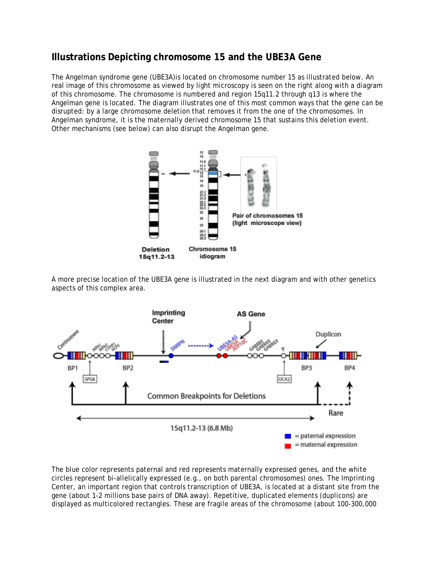## **Illustrations Depicting chromosome 15 and the UBE3A Gene**

The Angelman syndrome gene (UBE3A)is located on chromosome number 15 as illustrated below. An real image of this chromosome as viewed by light microscopy is seen on the right along with a diagram of this chromosome. The chromosome is numbered and region 15q11.2 through q13 is where the Angelman gene is located. The diagram illustrates one of this most common ways that the gene can be disrupted: by a large chromosome deletion that removes it from the one of the chromosomes. In Angelman syndrome, it is the maternally derived chromosome 15 that sustains this deletion event. Other mechanisms (see below) can also disrupt the Angelman gene.







The blue color represents paternal and red represents maternally expressed genes, and the white circles represent bi-allelically expressed (e.g., on both parental chromosomes) ones. The Imprinting Center, an important region that controls transcription of UBE3A, is located at a distant site from the gene (about 1-2 millions base pairs of DNA away). Repetitive, duplicated elements (duplicons) are displayed as multicolored rectangles. These are fragile areas of the chromosome (about 100-300,000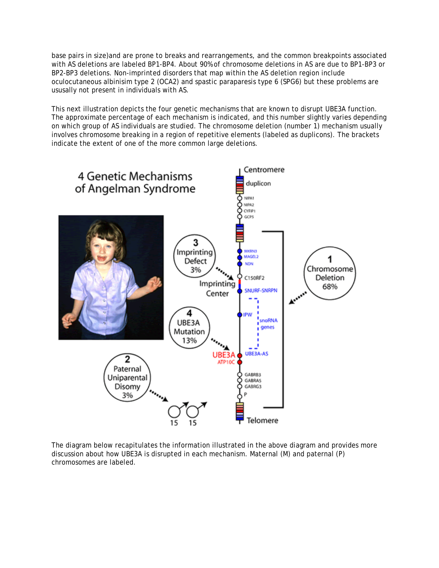base pairs in size)and are prone to breaks and rearrangements, and the common breakpoints associated with AS deletions are labeled BP1-BP4. About 90% of chromosome deletions in AS are due to BP1-BP3 or BP2-BP3 deletions. Non-imprinted disorders that map within the AS deletion region include oculocutaneous albinisim type 2 (OCA2) and spastic paraparesis type 6 (SPG6) but these problems are ususally not present in individuals with AS.

This next illustration depicts the four genetic mechanisms that are known to disrupt UBE3A function. The approximate percentage of each mechanism is indicated, and this number slightly varies depending on which group of AS individuals are studied. The chromosome deletion (number 1) mechanism usually involves chromosome breaking in a region of repetitive elements (labeled as duplicons). The brackets indicate the extent of one of the more common large deletions.



The diagram below recapitulates the information illustrated in the above diagram and provides more discussion about how UBE3A is disrupted in each mechanism. Maternal (M) and paternal (P) chromosomes are labeled.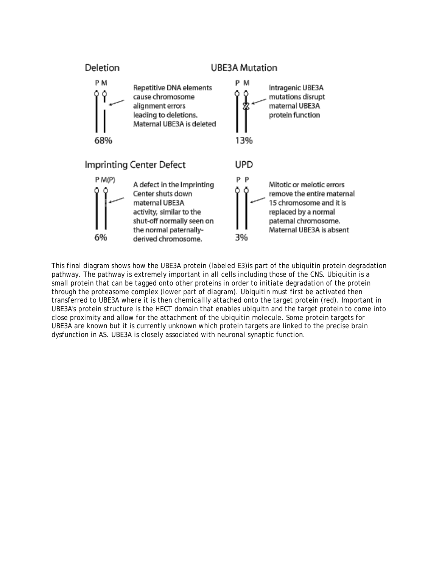

This final diagram shows how the UBE3A protein (labeled E3)is part of the ubiquitin protein degradation pathway. The pathway is extremely important in all cells including those of the CNS. Ubiquitin is a small protein that can be tagged onto other proteins in order to initiate degradation of the protein through the proteasome complex (lower part of diagram). Ubiquitin must first be activated then transferred to UBE3A where it is then chemicallly attached onto the target protein (red). Important in UBE3A's protein structure is the HECT domain that enables ubiquitn and the target protein to come into close proximity and allow for the attachment of the ubiquitin molecule. Some protein targets for UBE3A are known but it is currently unknown which protein targets are linked to the precise brain dysfunction in AS. UBE3A is closely associated with neuronal synaptic function.